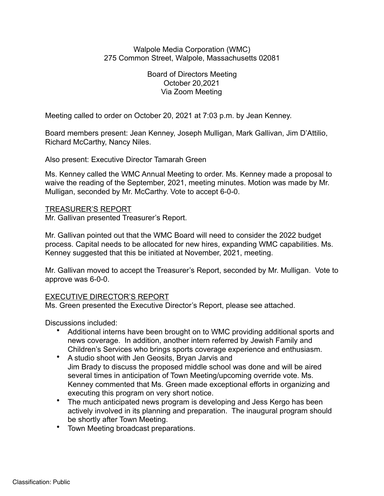## Walpole Media Corporation (WMC) 275 Common Street, Walpole, Massachusetts 02081

Board of Directors Meeting October 20,2021 Via Zoom Meeting

Meeting called to order on October 20, 2021 at 7:03 p.m. by Jean Kenney.

Board members present: Jean Kenney, Joseph Mulligan, Mark Gallivan, Jim D'Attilio, Richard McCarthy, Nancy Niles.

Also present: Executive Director Tamarah Green

Ms. Kenney called the WMC Annual Meeting to order. Ms. Kenney made a proposal to waive the reading of the September, 2021, meeting minutes. Motion was made by Mr. Mulligan, seconded by Mr. McCarthy. Vote to accept 6-0-0.

# TREASURER'S REPORT

Mr. Gallivan presented Treasurer's Report.

Mr. Gallivan pointed out that the WMC Board will need to consider the 2022 budget process. Capital needs to be allocated for new hires, expanding WMC capabilities. Ms. Kenney suggested that this be initiated at November, 2021, meeting.

Mr. Gallivan moved to accept the Treasurer's Report, seconded by Mr. Mulligan. Vote to approve was 6-0-0.

# EXECUTIVE DIRECTOR'S REPORT

Ms. Green presented the Executive Director's Report, please see attached.

Discussions included:

- Additional interns have been brought on to WMC providing additional sports and news coverage. In addition, another intern referred by Jewish Family and Children's Services who brings sports coverage experience and enthusiasm.
- A studio shoot with Jen Geosits, Bryan Jarvis and Jim Brady to discuss the proposed middle school was done and will be aired several times in anticipation of Town Meeting/upcoming override vote. Ms. Kenney commented that Ms. Green made exceptional efforts in organizing and executing this program on very short notice.
- The much anticipated news program is developing and Jess Kergo has been actively involved in its planning and preparation. The inaugural program should be shortly after Town Meeting.
- Town Meeting broadcast preparations.